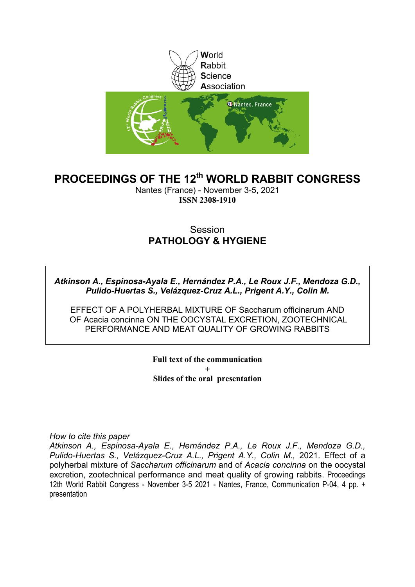

#### **PROCEEDINGS OF THE 12th WORLD RABBIT CONGRESS**

Nantes (France) - November 3-5, 2021 **ISSN 2308-1910**

#### **Session PATHOLOGY & HYGIENE**

*Atkinson A., Espinosa-Ayala E., Hernández P.A., Le Roux J.F., Mendoza G.D., Pulido-Huertas S., Velázquez-Cruz A.L., Prigent A.Y., Colin M.* 

EFFECT OF A POLYHERBAL MIXTURE OF Saccharum officinarum AND OF Acacia concinna ON THE OOCYSTAL EXCRETION, ZOOTECHNICAL PERFORMANCE AND MEAT QUALITY OF GROWING RABBITS

> **Full text of the communication + Slides of the oral presentation**

*How to cite this paper*

*Atkinson A., Espinosa-Ayala E., Hernández P.A., Le Roux J.F., Mendoza G.D., Pulido-Huertas S., Velázquez-Cruz A.L., Prigent A.Y., Colin M., 2021. Effect of a* polyherbal mixture of *Saccharum officinarum* and of *Acacia concinna* on the oocystal excretion, zootechnical performance and meat quality of growing rabbits. Proceedings 12th World Rabbit Congress - November 3-5 2021 - Nantes, France, Communication P-04, 4 pp. + presentation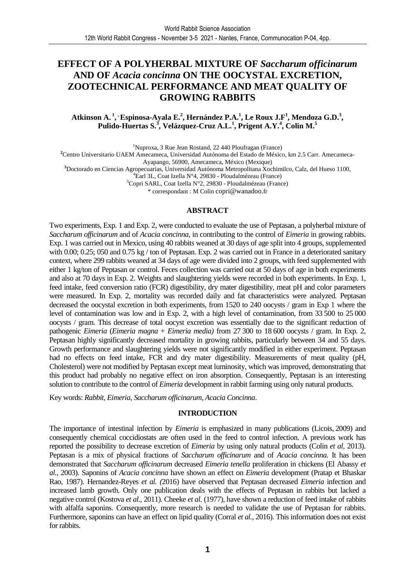#### **EFFECT OF A POLYHERBAL MIXTURE OF** *Saccharum officinarum*  **AND OF** *Acacia concinna* **ON THE OOCYSTAL EXCRETION, ZOOTECHNICAL PERFORMANCE AND MEAT QUALITY OF GROWING RABBITS**

**Atkinson A.<sup>1</sup> , , Espinosa-Ayala E.<sup>2</sup> , Hernández P.A.<sup>1</sup> , Le Roux J.F<sup>1</sup> , Mendoza G.D.<sup>3</sup> , Pulido-Huertas S.<sup>3</sup> , Velázquez-Cruz A.L.<sup>1</sup> , Prigent A.Y.<sup>4</sup> , Colin M.<sup>5</sup>**

<sup>1</sup>Nuproxa, 3 Rue Jean Rostand, 22 440 Ploufragan (France)

**<sup>2</sup>**Centro Universitario UAEM Amecameca, Universidad Autónoma del Estado de México, km 2.5 Carr. Amecameca-

Ayapango, 56900, Amecameca, México (Mexique)

**<sup>3</sup>**Doctorado en Ciencias Agropecuarias, Universidad Autónoma Metropolitana Xochimilco, Calz, del Hueso 1100,

 ${}^{4}$ Earl 3L, Coat Izella N°4, 29830 - Ploudalmézeau (France)

<sup>5</sup>Copri SARL, Coat Izella N°2, 29830 - Ploudalmézeau (France)

\* correspondant : M Colin copri@wanadoo.fr

#### **ABSTRACT**

Two experiments, Exp. 1 and Exp. 2, were conducted to evaluate the use of Peptasan, a polyherbal mixture of *Saccharum officinarum* and of *Acacia concinna,* in contributing to the control of *Eimeria* in growing rabbits. Exp. 1 was carried out in Mexico, using 40 rabbits weaned at 30 days of age split into 4 groups, supplemented with 0.00; 0.25; 050 and 0.75 kg / ton of Peptasan. Exp. 2 was carried out in France in a deteriorated sanitary context, where 299 rabbits weaned at 34 days of age were divided into 2 groups, with feed supplemented with either 1 kg/ton of Peptasan or control. Feces collection was carried out at 50 days of age in both experiments and also at 70 days in Exp. 2. Weights and slaughtering yields were recorded in both experiments. In Exp. 1, feed intake, feed conversion ratio (FCR) digestibility, dry mater digestibility, meat pH and color parameters were measured. In Exp. 2, mortality was recorded daily and fat characteristics were analyzed. Peptasan decreased the oocystal excretion in both experiments, from 1520 to 240 oocysts / gram in Exp 1 where the level of contamination was low and in Exp. 2, with a high level of contamination, from 33 500 to 25 000 oocysts / gram. This decrease of total oocyst excretion was essentially due to the significant reduction of pathogenic *Eimeria* (*Eimeria magna* + *Eimeria media)* from 27 300 to 18 600 oocysts / gram. In Exp. 2, Peptasan highly significantly decreased mortality in growing rabbits, particularly between 34 and 55 days. Growth performance and slaughtering yields were not significantly modified in either experiment. Peptasan had no effects on feed intake, FCR and dry mater digestibility. Measurements of meat quality (pH, Cholesterol) were not modified by Peptasan except meat luminosity, which was improved, demonstrating that this product had probably no negative effect on iron absorption. Consequently, Peptasan is an interesting solution to contribute to the control of *Eimeria* development in rabbit farming using only natural products.

Key words: *Rabbit*, *Eimeria*, *Saccharum officinarum, Acacia Concinna*.

#### **INTRODUCTION**

The importance of intestinal infection by *Eimeria* is emphasized in many publications (Licois, 2009) and consequently chemical coccidiostats are often used in the feed to control infection. A previous work has reported the possibility to decrease excretion of *Eimeria* by using only natural products (Colin *et al*, 2013). Peptasan is a mix of physical fractions of *Saccharum officinarum* and of *Acacia concinna.* It has been demonstrated that *Saccharum officinarum* decreased *Eimeria tenella* proliferation in chickens (El Abassy *et al.,* 2003). Saponins of *Acacia concinna* have shown an effect on *Eimeria* development (Pratap et Bhaskar Rao, 1987). Hernandez-Reyes *et al. (*2016) have observed that Peptasan decreased *Eimeria* infection and increased lamb growth. Only one publication deals with the effects of Peptasan in rabbits but lacked a negative control (Kostova *et al.,* 2011). Cheeke *et al.* (1977), have shown a reduction of feed intake of rabbits with alfalfa saponins. Consequently, more research is needed to validate the use of Peptasan for rabbits. Furthermore, saponins can have an effect on lipid quality (Corral *et al.*, 2016). This information does not exist for rabbits.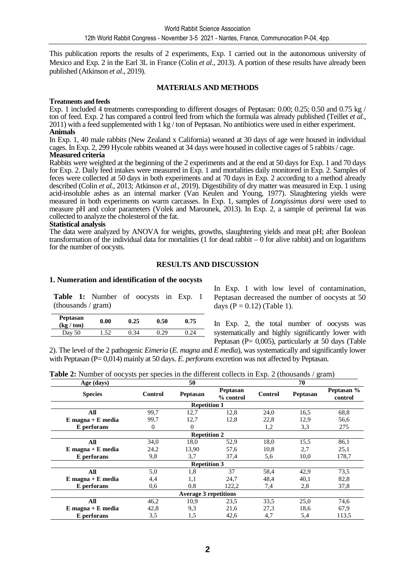This publication reports the results of 2 experiments, Exp. 1 carried out in the autonomous university of Mexico and Exp. 2 in the Earl 3L in France (Colin *et al.,* 2013). A portion of these results have already been published (Atkinson *et al*., 2019).

#### **MATERIALS AND METHODS**

#### **Treatments and feeds**

Exp. 1 included 4 treatments corresponding to different dosages of Peptasan: 0.00; 0.25; 0.50 and 0.75 kg / ton of feed. Exp. 2 has compared a control feed from which the formula was already published (Teillet *et al*., 2011) with a feed supplemented with 1 kg / ton of Peptasan. No antibiotics were used in either experiment. **Animals** 

In Exp. 1, 40 male rabbits (New Zealand x California) weaned at 30 days of age were housed in individual cages. In Exp. 2, 299 Hycole rabbits weaned at 34 days were housed in collective cages of 5 rabbits / cage. **Measured criteria** 

Rabbits were weighted at the beginning of the 2 experiments and at the end at 50 days for Exp. 1 and 70 days for Exp. 2. Daily feed intakes were measured in Exp. 1 and mortalities daily monitored in Exp. 2. Samples of feces were collected at 50 days in both experiments and at 70 days in Exp. 2 according to a method already described (Colin *et al.*, 2013; Atkinson *et al.*, 2019). Digestibility of dry matter was measured in Exp. 1 using acid-insoluble ashes as an internal marker (Van Keulen and Young, 1977). Slaughtering yields were measured in both experiments on warm carcasses. In Exp. 1, samples of *Longissimus dorsi* were used to measure pH and color parameters (Volek and Marounek, 2013). In Exp. 2, a sample of perirenal fat was collected to analyze the cholesterol of the fat.

#### **Statistical analysis**

The data were analyzed by ANOVA for weights, growths, slaughtering yields and meat pH; after Boolean transformation of the individual data for mortalities  $(1$  for dead rabbit  $-0$  for alive rabbit) and on logarithms for the number of oocysts.

#### **RESULTS AND DISCUSSION**

#### **1. Numeration and identification of the oocysts**

**Table 1:** Number of oocysts in Exp. 1 (thousands / gram)

| Peptasan<br>$(kg / \text{ton})$ | 0.00 | 0.25 | 0.50 | 0.75 |
|---------------------------------|------|------|------|------|
| Day 50                          | 1.52 | 0.34 | 0.29 | 0.24 |

In Exp. 1 with low level of contamination, Peptasan decreased the number of oocysts at 50 days ( $P = 0.12$ ) (Table 1).

In Exp. 2, the total number of oocysts was systematically and highly significantly lower with Peptasan ( $P = 0,005$ ), particularly at 50 days (Table

2). The level of the 2 pathogenic *Eimeria* (*E. magna* and *E media*), was systematically and significantly lower with Peptasan (P= 0,014) mainly at 50 days. *E. perforans* excretion was not affected by Peptasan.

| Age (days)            |              | 50                           |                              | $\mathcal{D}$<br>70 |                       |       |  |
|-----------------------|--------------|------------------------------|------------------------------|---------------------|-----------------------|-------|--|
| <b>Species</b>        | Control      | Peptasan                     | <b>Peptasan</b><br>% control | Control             | Peptasan %<br>control |       |  |
|                       |              | <b>Repetition 1</b>          |                              |                     |                       |       |  |
| All                   | 99.7         | 12,7                         | 12,8                         | 24,0                | 16.5                  | 68,8  |  |
| $E$ magna + $E$ media | 99,7         | 12,7                         | 12,8                         | 22,8                | 12,9                  | 56,6  |  |
| E perforans           | $\mathbf{0}$ | $\Omega$                     |                              | 1,2                 | 3,3                   | 275   |  |
|                       |              | <b>Repetition 2</b>          |                              |                     |                       |       |  |
| All                   | 34,0         | 18,0                         | 52,9                         | 18,0                | 15.5                  | 86,1  |  |
| $E$ magna + $E$ media | 24,2         | 13,90                        | 57,6                         | 10,8                | 2,7                   | 25,1  |  |
| E perforans           | 9,8          | 3.7                          | 37,4                         | 5,6                 | 10,0                  | 178,7 |  |
|                       |              | <b>Repetition 3</b>          |                              |                     |                       |       |  |
| All                   | 5,0          | 1,8                          | 37                           | 58,4                | 42,9                  | 73,5  |  |
| $E$ magna + $E$ media | 4,4          | 1,1                          | 24,7                         | 48,4                | 40,1                  | 82,8  |  |
| E perforans           | 0,6          | 0.8                          | 122,2                        | 7,4                 | 2,8                   | 37,8  |  |
|                       |              | <b>Average 3 repetitions</b> |                              |                     |                       |       |  |
| All                   | 46,2         | 10.9                         | 23,5                         | 33.5                | 25,0                  | 74,6  |  |
| $E$ magna + $E$ media | 42,8         | 9,3                          | 21,6                         | 27,3                | 18,6                  | 67,9  |  |
| E perforans           | 3,5          | 1,5                          | 42,6                         | 4,7                 | 5,4                   | 113,5 |  |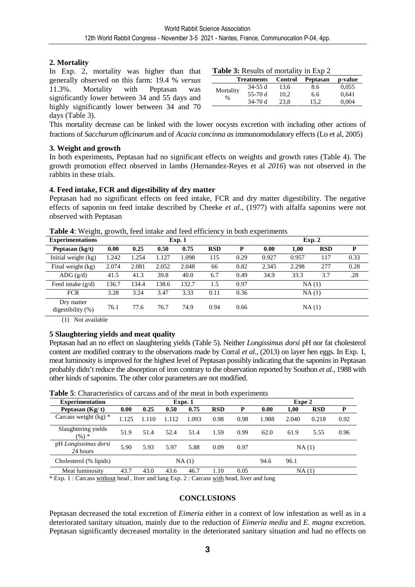#### **2. Mortality**

In Exp. 2, mortality was higher than that generally observed on this farm: 19.4 % *versus* 11.3%. Mortality with Peptasan was significantly lower between 34 and 55 days and highly significantly lower between 34 and 70 days (Table 3).

| <b>Table 3:</b> Results of mortality in Exp 2 |                   |                |          |         |  |  |  |  |
|-----------------------------------------------|-------------------|----------------|----------|---------|--|--|--|--|
|                                               | <b>Treatments</b> | <b>Control</b> | Peptasan | p-value |  |  |  |  |
|                                               | $34-55$ d         | 13.6           | 8.6      | 0,055   |  |  |  |  |
| Mortality<br>$\frac{0}{0}$                    | $55-70d$          | 10.2           | 6.6      | 0,641   |  |  |  |  |
|                                               | $34-70d$          | 23.8           | 15.2     | 0,004   |  |  |  |  |

This mortality decrease can be linked with the lower oocysts excretion with including other actions of fractions of *Saccharum officinarum* and of *Acacia concinna as* immunomodulatory effects (Lo et al, 2005)

#### **3. Weight and growth**

In both experiments, Peptasan had no significant effects on weights and growth rates (Table 4). The growth promotion effect observed in lambs (Hernandez-Reyes et al *2016*) was not observed in the rabbits in these trials.

#### **4. Feed intake, FCR and digestibility of dry matter**

Peptasan had no significant effects on feed intake, FCR and dry matter digestibility. The negative effects of saponin on feed intake described by Cheeke *et al.,* (1977) with alfalfa saponins were not observed with Peptasan

| <b>Experimentations</b>            |       | Exp.1 |       |       |            |      |       | Exp. 2 |            |      |
|------------------------------------|-------|-------|-------|-------|------------|------|-------|--------|------------|------|
| Peptasan (kg/t)                    | 0.00  | 0.25  | 0.50  | 0.75  | <b>RSD</b> | P    | 0.00  | 1,00   | <b>RSD</b> | P    |
| Initial weight (kg)                | 1.242 | 1.254 | 1.127 | 1.098 | 115        | 0.29 | 0.927 | 0.957  | 117        | 0.33 |
| Final weight (kg)                  | 2.074 | 2.081 | 2.052 | 2.048 | 66         | 0.82 | 2.345 | 2.298  | 277        | 0.28 |
| ADG $(g/d)$                        | 41.5  | 41.3  | 39.8  | 40.0  | 6.7        | 0.49 | 34.9  | 33.3   | 3.7        | .28  |
| Feed intake $(g/d)$                | 136.7 | 134.4 | 138.6 | 132.7 | 1.5        | 0.97 |       | NA(1)  |            |      |
| <b>FCR</b>                         | 3.28  | 3.24  | 3.47  | 3.33  | 0.11       | 0.36 |       | NA(1)  |            |      |
| Dry matter<br>digestibility $(\%)$ | 76.1  | 77.6  | 76.7  | 74.9  | 0.94       | 0.66 |       | NA(1)  |            |      |

**Table 4**: Weight, growth, feed intake and feed efficiency in both experiments

(1) Not available

#### **5 Slaughtering yields and meat quality**

Peptasan had an no effect on slaughtering yields (Table 5). Neither *Longissimus dorsi* pH nor fat cholesterol content are modified contrary to the observations made by Corral *et al.,* (2013) on layer hen eggs. In Exp. 1, meat luminosity is improved for the highest level of Peptasan possibly indicating that the saponins in Peptasan probably didn't reduce the absorption of iron contrary to the observation reported by Southon *et al.,* 1988 with other kinds of saponins. The other color parameters are not modified.

| <b>Experimentation</b>           | Expe. 1 |      |       |       |            |      |       | Expe 2 |            |      |
|----------------------------------|---------|------|-------|-------|------------|------|-------|--------|------------|------|
| Peptasan $(Kg/t)$                | 0.00    | 0.25 | 0.50  | 0.75  | <b>RSD</b> | P    | 0.00  | 1,00   | <b>RSD</b> | P    |
| Carcass weight $(kg)$ *          | .125    | .110 | 1.112 | 1.093 | 0.98       | 0.98 | 1.988 | 2.040  | 0.218      | 0.92 |
| Slaughtering yields<br>$(\%) *$  | 51.9    | 51.4 | 52.4  | 51.4  | 1.59       | 0.99 | 62.0  | 61.9   | 5.55       | 0.96 |
| pH Longissimus dorsi<br>24 hours | 5.90    | 5.93 | 5.97  | 5.88  | 0.09       | 0.97 |       | NA(1)  |            |      |
| Cholesterol (% lipids)           |         |      |       | NA(1) |            |      | 94.6  | 96.1   |            |      |
| Meat luminosity                  | 43.7    | 43.0 | 43.6  | 46.7  | 1.10       | 0.05 |       | NA(1)  |            |      |

**Table 5**: Characteristics of carcass and of the meat in both experiments

 $*$  Exp. 1 : Carcass without head, liver and lung Exp. 2 : Carcass with head, liver and lung

#### **CONCLUSIONS**

Peptasan decreased the total excretion of *Eimeria* either in a context of low infestation as well as in a deteriorated sanitary situation, mainly due to the reduction of *Eimeria media* and *E. magna* excretion. Peptasan significantly decreased mortality in the deteriorated sanitary situation and had no effects on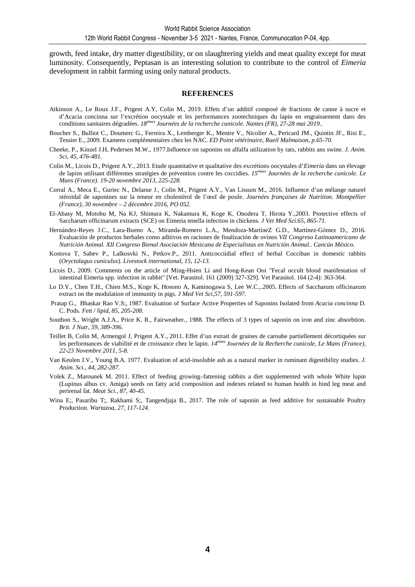growth, feed intake, dry matter digestibility, or on slaughtering yields and meat quality except for meat luminosity. Consequently, Peptasan is an interesting solution to contribute to the control of *Eimeria* development in rabbit farming using only natural products.

#### **REFERENCES**

- Atkinson A., Le Roux J.F., Prigent A.Y, Colin M., 2019. Effets d'un additif composé de fractions de canne à sucre et d'Acacia concinna sur l'excrétion oocystale et les performances zootechniques du lapin en engraissement dans des conditions sanitaires dégradées. *18émes Journées de la recherche cunicole. Nantes (FR), 27-28 mai 2019..*
- Boucher S., Bulliot C., Doumerc G., Ferreira X., Lemberger K., Mentre V., Nicolier A., Pericard JM., Quintin JF., Risi E., Tessier E., 2009. Examens complémentaires chez les NAC. *ED Point vétérinaire, Rueil Malmaison, p.65-70.*
- Cheeke, P., Kinzel J.H, Pedersen M.W., 1977.Influence on saponins on alfalfa utilization by rats, rabbits ans swine. *J. Anim. Sci, 45, 476-481.*
- Colin M., Licois D., Prigent A.Y., 2013. Etude quantitative et qualitative des excrétions oocystales d'*Eimeria* dans un élevage de lapins utilisant différentes stratégies de prévention contre les coccidies. *15émes Journées de la recherche cunicole. Le Mans (France). 19-20 novembre 2013, 225-228.*
- Corral A., Meca E., Guriec N., Delarue J., Colin M., Prigent A.Y., Van Lissum M., 2016. Influence d'un mélange naturel stéroïdal de saponines sur la teneur en cholestérol de l'œuf de poule. *Journées françaises de Nutrition. Montpellier (France), 30 novembre – 2 décembre 2016, PO 052.*
- El-Abasy M, Motobu M, Na KJ, Shimura K, Nakamura K, Koge K, Onodera T, Hirota Y.,2003. Protective effects of Saccharum officinarum extracts (SCE) on Eimeria tenella infection in chickens. *J Vet Med Sci.65, 865-71.*
- Hernández-Reyes J.C., Lara-Bueno A., Miranda-Romero L.A., Mendoza-MartíneZ G.D., Martínez-Gómez D., 2016. Evaluación de productos herbales como aditivos en raciones de finalización de ovinos *VII Congreso Latinoamericano de Nutrición Animal. XII Congreso Bienal Asociación Mexicana de Especialistas en Nutrición Animal.. Cancún México.*
- Kostova T, Sabev P., Lalkosvki N., Petkov.P., 2011. Anticocciidial effect of herbal Cocciban in domestic rabbits (*Oryctolagus cuniculus*). *Livestock international, 15, 12-13.*
- Licois D., 2009. Comments on the article of Ming-Hsien Li and Hong-Kean Ooi "Fecal occult blood manifestation of intestinal Eimeria spp. infection in rabbit" [Vet. Parasitol. 161 (2009) 327-329]. Vet Parasitol. 164 (2-4): 363-364.
- Lo D.Y., Chen T.H., Chien M.S., Koge K, Hosono A, Kaminogawa S, Lee W.C.,.2005. Effects of Saccharum officinarum extract on the modulation of immunity in pigs. *J Med Vet Sci,57, 591-597.*
- Pratap G., Bhaskar Rao V.S;, 1987. Evaluation of Surface Active Properties of Saponins Isolated from *Acacia concinna* D. C. Pods. *Fett / lipid, 85, 205-208.*
- Southon S., Wright A.J.A., Price K. R., Fairweather., 1988. The effects of 3 types of saponin on iron and zinc absorbtion. *Brit. J Nutr, 59, 389-396.*
- Teillet B, Colin M, Armengol J, Prigent A.Y., 2011. Effet d'un extrait de graines de caroube partiellement décortiquées sur les performances de viabilité et de croissance chez le lapin. *14èmes Journées de la Recherche cunicole, Le Mans (France), 22-23 Novembre 2011, 5-8.*
- Van Keulen J.V., Young B.A. 1977. Evaluation of acid-insoluble ash as a natural marker in ruminant digestibility studies. *J. Anim. Sci., 44, 282-287.*
- Volek Z., Marounek M. 2011. Effect of feeding growing–fattening rabbits a diet supplemented with whole White lupin (Lupinus albus cv. Amiga) seeds on fatty acid composition and indexes related to human health in hind leg meat and perirenal fat. *Meat Sci., 87, 40-45.*
- Wina E;, Pasaribu T;, Rakhami S;, Tangendjaja B., 2017. The role of saponin as feed additive for sustainable Poultry Production. *Wartazoa, 27, 117-124.*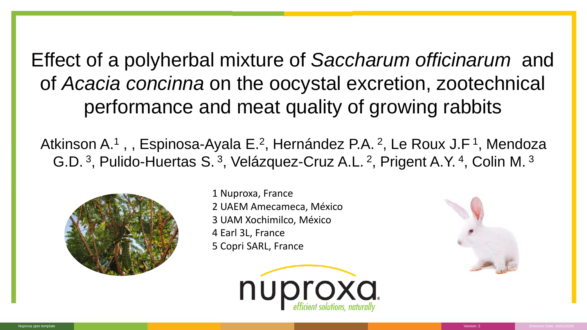Effect of a polyherbal mixture of *Saccharum officinarum* and of *Acacia concinna* on the oocystal excretion, zootechnical performance and meat quality of growing rabbits

Atkinson A.<sup>1</sup>,, Espinosa-Ayala E.<sup>2</sup>, Hernández P.A. <sup>2</sup>, Le Roux J.F<sup>1</sup>, Mendoza G.D.<sup>3</sup>, Pulido-Huertas S.<sup>3</sup>, Velázquez-Cruz A.L.<sup>2</sup>, Prigent A.Y.<sup>4</sup>, Colin M.<sup>3</sup>



1 Nuproxa, France 2 UAEM Amecameca, México 3 UAM Xochimilco, México 4 Earl 3L, France 5 Copri SARL, France



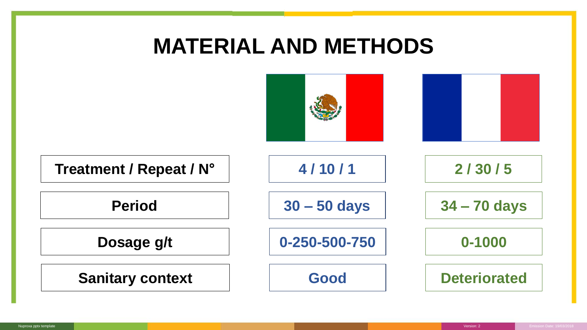## **MATERIAL AND METHODS**

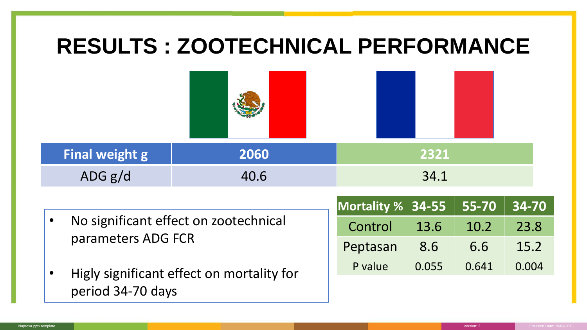### **RESULTS : ZOOTECHNICAL PERFORMANCE Final weight g 2060**  $ADG g/d$  40.6 • No significant effect on zootechnical parameters ADG FCR • Higly significant effect on mortality for period 34-70 days **2321** 34.1 **Mortality % 34-55 55-70 34-70** Control 13.6 10.2 23.8 Peptasan 8.6 6.6 15.2 P value 0.055 0.641 0.004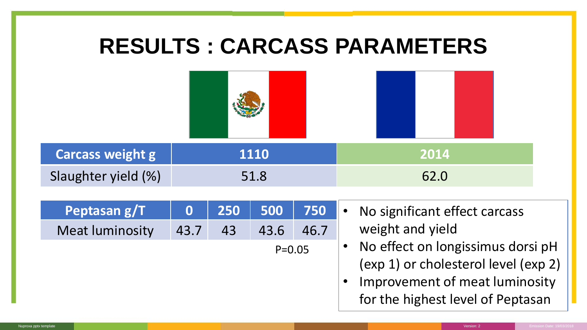| <b>RESULTS: CARCASS PARAMETERS</b> |          |     |            |      |                                                                                                                                                  |  |  |  |  |
|------------------------------------|----------|-----|------------|------|--------------------------------------------------------------------------------------------------------------------------------------------------|--|--|--|--|
|                                    |          |     |            |      |                                                                                                                                                  |  |  |  |  |
| <b>Carcass weight g</b>            |          |     | 1110       |      | 2014                                                                                                                                             |  |  |  |  |
| Slaughter yield (%)                |          |     | 51.8       |      | 62.0                                                                                                                                             |  |  |  |  |
| Peptasan g/T                       | $\bf{0}$ | 250 | 500        | 750  | No significant effect carcass<br>$\bullet$                                                                                                       |  |  |  |  |
| <b>Meat luminosity</b>             | 43.7     | 43  | 43.6       | 46.7 | weight and yield                                                                                                                                 |  |  |  |  |
|                                    |          |     | $P = 0.05$ |      | No effect on longissimus dorsi pH<br>(exp 1) or cholesterol level (exp 2)<br>Improvement of meat luminosity<br>for the highest level of Peptasan |  |  |  |  |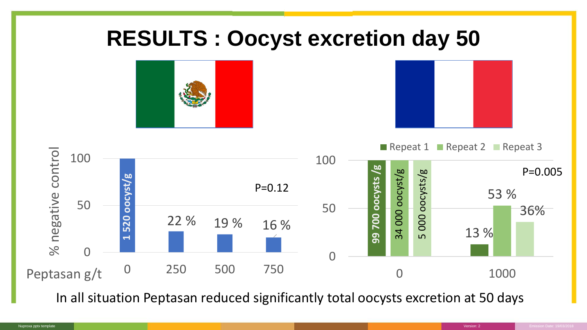### **RESULTS : Oocyst excretion day 50**







In all situation Peptasan reduced significantly total oocysts excretion at 50 days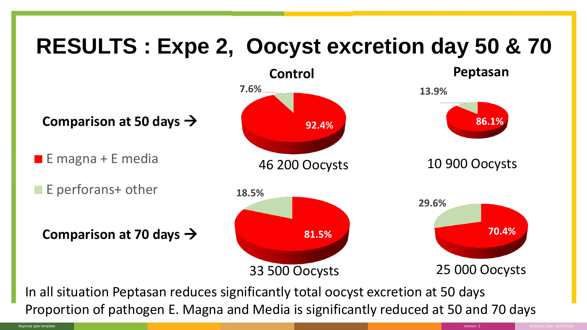## **RESULTS : Expe 2, Oocyst excretion day 50 & 70**



Proportion of pathogen E. Magna and Media is significantly reduced at 50 and 70 days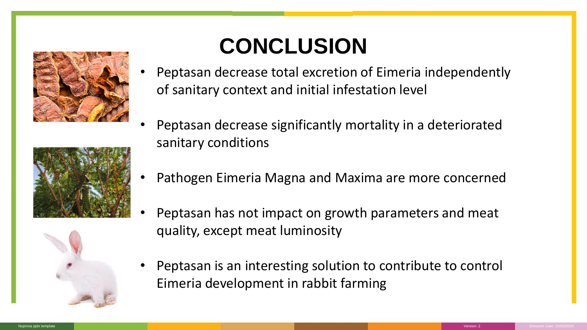





## **CONCLUSION**

- Peptasan decrease total excretion of Eimeria independently of sanitary context and initial infestation level
- Peptasan decrease significantly mortality in a deteriorated sanitary conditions
- Pathogen Eimeria Magna and Maxima are more concerned
- Peptasan has not impact on growth parameters and meat quality, except meat luminosity
- Peptasan is an interesting solution to contribute to control Eimeria development in rabbit farming